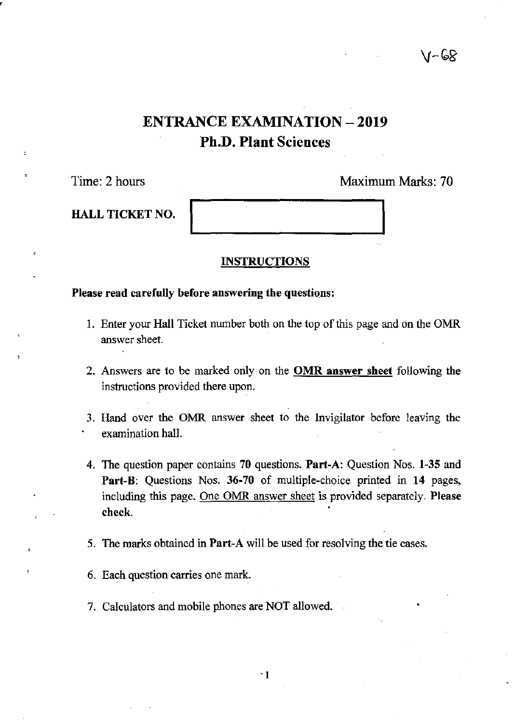## √∽ ⊌ି&

# ENTRANCE EXAMINATION - 2019 Ph.D. Plant Sciences

HALL TICKET NO.

## Time: 2 hours Maximum Marks: 70

## INSTRUCTIONS

## Please read carefully before answering the questions:

- 1. Enter your Hall Ticket number both on the top of this page and on the OMR answer sheet.
- 2. Answers are to be marked only on the **OMR answer sheet** following the instructions provided there upon.
- 3. Hand over the OMR answer sheet to the Invigilator before leaving the examination hall.
- 4. The question paper contains 70 questions. Part-A: Question Nos. 1-35 and Part-B: Questions Nos. 36-70 of multiple-choice printed in 14 pages, including this page. One OMR answer sheet is provided separately. Please check.
- 5. The marks obtained in Part-A will be used for resolving the tie cases.
- 6. Each question carries one mark.
- 7. Calculators and mobile phones are NOT allowed.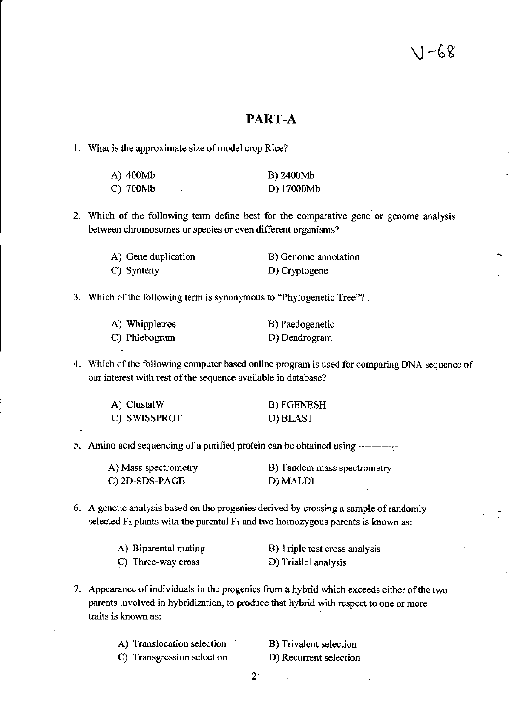## PART-A

#### 1. What is the approximate size of model crop Rice?

| A) 400Mb      | B) 2400Mb  |
|---------------|------------|
| $C)$ 700 $Mb$ | D) 17000Mb |

2. Which of the following term define best for the comparative gene or genome analysis between chromosomes or species or even different organisms?

A) Gene duplication C) Synteny B) Genome annotation D) Cryptogene

3. Which of the following term is synonymous to "Phylogenetic Tree"?

| A) Whippletree | B) Paedogenetic |
|----------------|-----------------|
| C) Phlebogram  | D) Dendrogram   |

4. Which of the following computer based online program is used for comparing DNA sequence of our interest with rest of the sequence available in database?

| A) ClustalW  | <b>B) FGENESH</b> |
|--------------|-------------------|
| C) SWISSPROT | D) BLAST          |

5. Amino acid sequencing of a purified protein can be obtained using ~~~~~~~~~~~~

| A) Mass spectrometry | B) Tandem mass spectrometry |
|----------------------|-----------------------------|
| C) 2D-SDS-PAGE       | D) MALDI                    |

6. A genetic analysis based on the progenies derived by crossing a sample of randomly selected  $F_2$  plants with the parental  $F_1$  and two homozygous parents is known as:

| A) Biparental mating | B) Triple test cross analysis |
|----------------------|-------------------------------|
| C) Three-way cross   | D) Triallel analysis          |

7. Appearance of individuals in the progenies from a hybrid which exceeds either of the two parents involved in hybridization, to produce that hybrid with respect to one or more traits is known as:

| A) Translocation selection |  |
|----------------------------|--|
| C) Transgression selection |  |

B) Trivalent selection D) Recurrent selection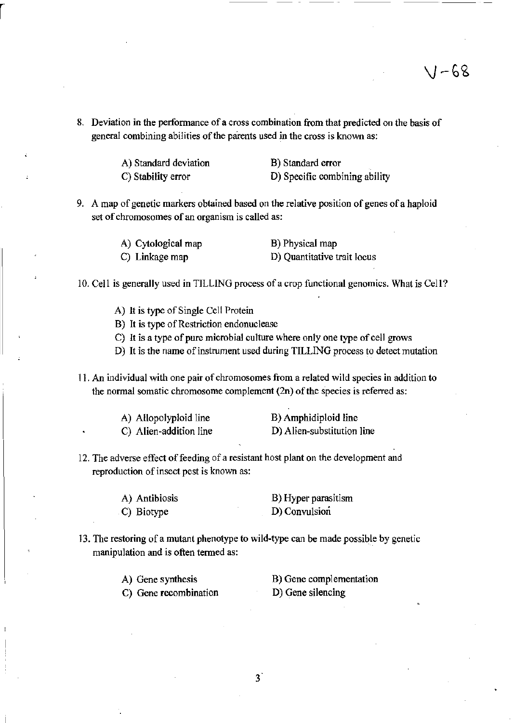g. Deviation in the performance of a cross combination from that predicted on the basis of general combining abilities of the parents used in the cross is known as:

> A) Standard deviation C) Stability error

r

B) Standard error 0) Specific combining ability

9. A map of genetic markers obtained based on the relative position of genes of a haploid set of chromosomes of an organism is called as:

| A) Cytological map | B) Physical map             |
|--------------------|-----------------------------|
| C) Linkage map     | D) Quantitative trait locus |

10. Cell is generally used in TILLING process of a crop functional genomics. What is Cell?

- A) It is type of Single Cell Protein
- B) It is type of Restriction endonuclease
- C) It is a type of pure microbial culture where only one type of cell grows
- D) It is the name of instrument used during TILLING process to detect mutation
- 11. An individual with one pair of chromosomes from a related wild species in addition to the normal somatic chromosome complement (2n) of the species is referred as:

| A) Allopolyploid line  | B) Amphidiploid line       |
|------------------------|----------------------------|
| C) Alien-addition line | D) Alien-substitution line |

12. The adverse effect of feeding of a resistant host plant on the development and reproduction of insect pest is known as:

| A) Antibiosis | B) Hyper parasitism |
|---------------|---------------------|
| C) Biotype    | D) Convulsion       |

13. The restoring of a mutant phenotype to wild-type can be made possible by genetic manipulation and is often termed as:

| A) Gene synthesis     | B) Gene complementation |
|-----------------------|-------------------------|
| C) Gene recombination | D) Gene silencing       |

<sup>3</sup>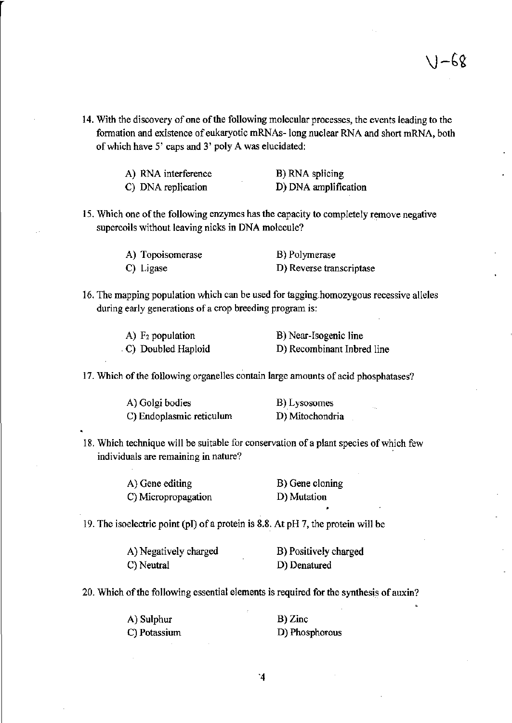14. With the discovery of one of the following molecular processes, the events leading to the formation and existence of eukaryotic mRNAs-long nuclear RNA and short mRNA, both of which have 5' caps and 3' poly A was elucidated:

| A) RNA interference | B) RNA splicing      |
|---------------------|----------------------|
| C) DNA replication  | D) DNA amplification |

15. Which one of the following enzymes has the capacity to completely remove negative supercoils without leaving nicks in DNA molecule?

| A) Topoisomerase | B) Polymerase            |
|------------------|--------------------------|
| C) Ligase        | D) Reverse transcriptase |

16. The mapping population which can he used for tagging.homozygous recessive alleles during early generations of a crop breeding program is:

| $A)$ F <sub>2</sub> population | B) Near-Isogenic line      |
|--------------------------------|----------------------------|
| C) Doubled Haploid             | D) Recombinant Inbred line |

17. Which of the following organelles contain large amounts of acid phosphatases?

| A) Golgi bodies          | B) Lysosomes    |
|--------------------------|-----------------|
| C) Endoplasmic reticulum | D) Mitochondria |

18. Which technique will be suitable for conservation of a plant species of which few individuals are remaining in nature?

| A) Gene editing     | B) Gene cloning |
|---------------------|-----------------|
| C) Micropropagation | D) Mutation     |

19. The isoelectric point (PI) ofa protein is 8.8. At pH 7, the protein will be

| A) Negatively charged | B) Positively charged |
|-----------------------|-----------------------|
| C) Neutral            | D) Denatured          |

20. Which of the following essential elements is required for the synthesis of auxin?

A) Sulphur C) Potassium B) Zinc D) Phosphorous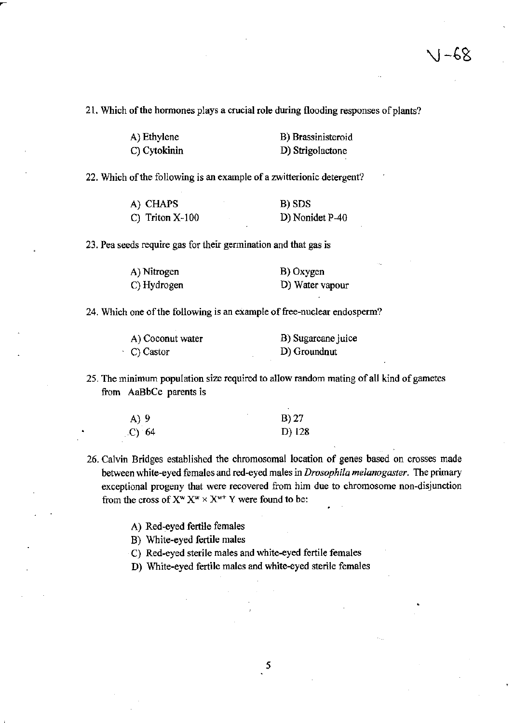21. Which of the hormones plays a crucial role during flooding responses of plants?

| A) Ethylene  | B) Brassinisteroid |
|--------------|--------------------|
| C) Cytokinin | D) Strigolactone   |

22. Which of the following is an example of a zwitterionic detergent?

| A) CHAPS          | B) SDS          |
|-------------------|-----------------|
| C) Triton $X-100$ | D) Nonidet P-40 |

23. Pea seeds require gas for their germination and that gas is

| A) Nitrogen | B) Oxygen       |
|-------------|-----------------|
| C) Hydrogen | D) Water vapour |

24. Which one of the following is an example of free-nuclear endosperm?

| A) Coconut water | B) Sugarcane juice |
|------------------|--------------------|
| C) Castor        | D) Groundnut       |

25. The minimum population size required to allow random mating of all kind of gametes from AaBbCc parents is

| A) 9   | B) 27  |
|--------|--------|
| (C) 64 | D) 128 |

- 26. Calvin Bridges established the chromosomal location of genes based on crosses made between white-eyed females and red-eyed mates in *Drosophila melanogaster.* The primary exceptional progeny that were recovered from him due to chromosome non-disjunction from the cross of  $X^w X^w \times X^{w+} Y$  were found to be:
	- A) Red-eyed fertile females

B) White-eyed fertile males

- C) Red-eyed sterile males and white-eyed fertile females
- D) White-eyed fertile males and white-eyed sterile females

5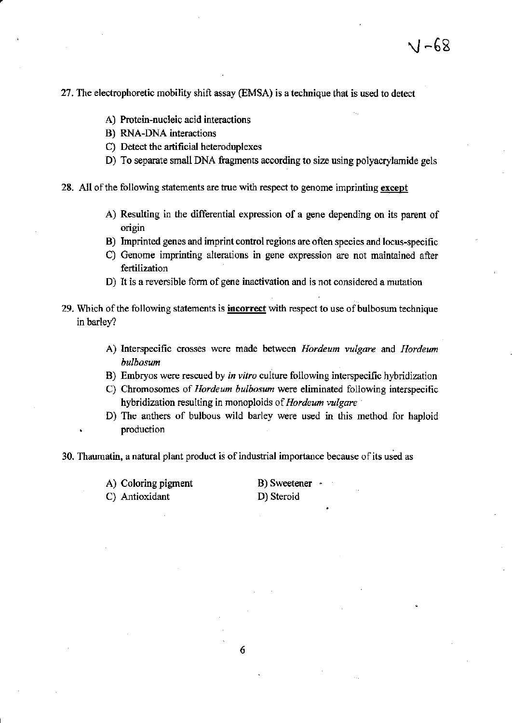27. The electrophoretic mobility shift assay (EMSA) is a technique that is used to detect

- A) Protein-nucleic acid interactions
- B) RNA-DNA interactions
- C) Detect the artificial heteroduplexes
- D) To separate small DNA fragments according to size using polyacrylamide gels
- 28. All of the following statements are true with respect to genome imprinting except
	- A) Resulting in the differential expression of a gene depending on its parent of origin
	- B) Imprinted genes and imprint control regions are often species and locus-specific
	- C) Genome imprinting alterations in gene expression are not maintained after fertilization
	- D) It is a reversible form of gene inactivation and is not considered a mutation
- 29. Which of the following statements is **incorrect** with respect to use of bulbosum technique in barley?
	- A) Interspecific crosses were made between *Hordeum vulgare* and *Hordeum bulbosum*
	- B) Embryos were rescued by *in vitro* culture following interspecific hybridization
	- C) Chromosomes of *Hordeum bulbosum* were eliminated following interspecific hybridization resulting in monoploids of *llordeum vulgare*
	- D) The anthers of bulbous wild barley were used in this method for haploid production

30. Thaumatin, a natural plant product is of industrial importance because of its used as

A) Coloring pigment

C) Antioxidant

B) Sweetener · D) Steroid

6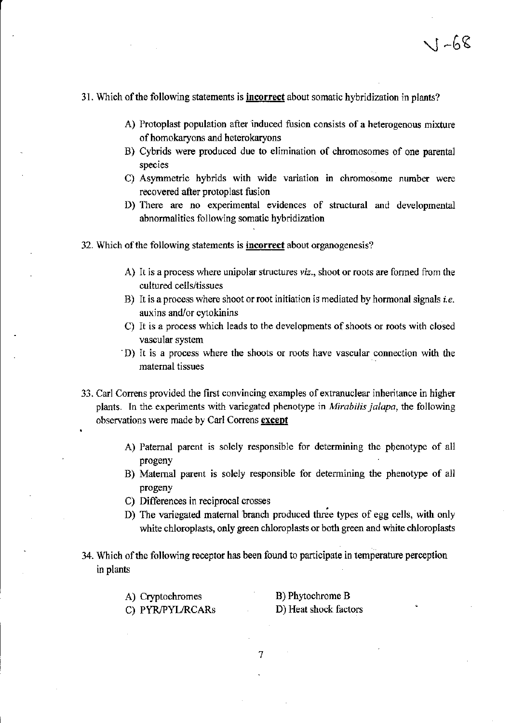#### 31. Which of the following statements is **incorrect** about somatic hybridization in plants?

- A) Protoplast population after induced fusion consists of a heterogenous mixture of homokaryons and heterokaryons
- B) Cybrids were produced due to elimination of chromosomes of one parental species
- C) Asymmetric hybrids with wide variation in chromosome number were recovered after protoplast fusion
- D) There are no experimental evidences of structural and developmental abnormalities following somatic hybridization
- 32. Which of the following statements is **incorrect** about organogenesis?
	- A) It is a process where unipolar structures *viz.,* shoot or roots are formed from the cultured cells/tissues
	- B) It is a process where shoot or root initiation is mediated by hormonal signals *i.e.* auxins and/or cytokinins
	- C) It is a process which leads to the developments of shoots or roots with closed vascular system
	- . D) It is a process where the shoots or roots have vascular connection with the maternal tissues
- 33. Carl Correns provided the first convincing examples of extranuclear inheritance in higher plants. In the experiments with variegated phenotype in *Mirabilis jalapa,* the following observations were made by Carl Correns except
	- A) Paternal parent is solely responsible for detennining the phenotype of all progeny
	- B) Maternal parent is solely responsible for detennining the phenotype of all progeny
	- C) Differences in reciprocal crosses
	- D) The variegated maternal branch produced three types of egg cells, with only white chloroplasts, only green chloroplasts or both green and white chloroplasts
- 34. Which of the following receptor has been found to participate in temperature perception in plants

| A) Cryptochromes |   | B) Phytochrome B      |
|------------------|---|-----------------------|
| C) PYR/PYL/RCARs | ۰ | D) Heat shock factors |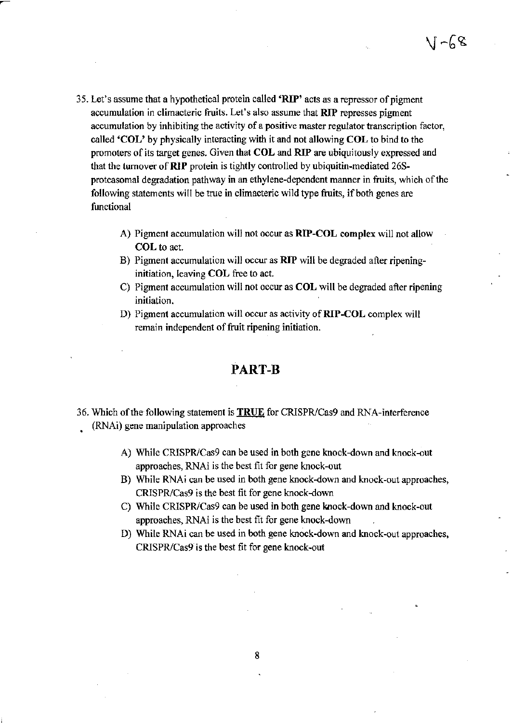$\sqrt{1-68}$ 

- 35. Let's assume that a hypothetical protein called 'RIP' acts as a repressor of pigment accumulation in climacteric fruits. Let's also assume that RIP represses pigment accumulation by inhibiting the activity of a positive master regulator transcription factor, called 'COL' by physically interacting with it and not allowing COL to bind to the promoters of its target genes. Given that COL and RIP are ubiquitously expressed and that the turnover of RIP protein is tightly controlled by ubiquitin-mediated 26Sproteasomal degradation pathway in an ethylene-dependent manner in fruits, which of the following statements wilI be true in climacteric wild type fruits, if both genes are functional
	- A) Pigment accumulation will not occur as RIP-COL complex will not allow COL to act.
	- B) Pigment accumulation will occur as RIP will be degraded after ripeninginitiation, leaving COL free to act.
	- C) Pigment accumulation will not occur as COL will be degraded after ripening initiation.
	- D) Pigment accumulation will occur as activity of RIP-COL complex will remain independent of fruit ripening initiation.

## PART-B

- 36. Which of the following statement is **TRUE** for CRISPR/Cas9 and RNA-interference (RNAi) gene manipulation approaches
	- A) While CRISPR/Cas9 can be used in both gene knock-down and knock-out approaches, RNAi is the best fit for gene knock-out
	- B) While RNAi can be used in both gene knock-down and knock-out approaches, CRISPR/Cas9 is the best fit for gene knock-down
	- C) While CRISPR/Cas9 can be used in both gene knock-down and knock-out approaches, RNAi is the best fit for gene knock-down
	- D) While RNAi can be used in both gene knock-down and knock-out approaches, CRISPR/Cas9 is the best fit for gene knock-out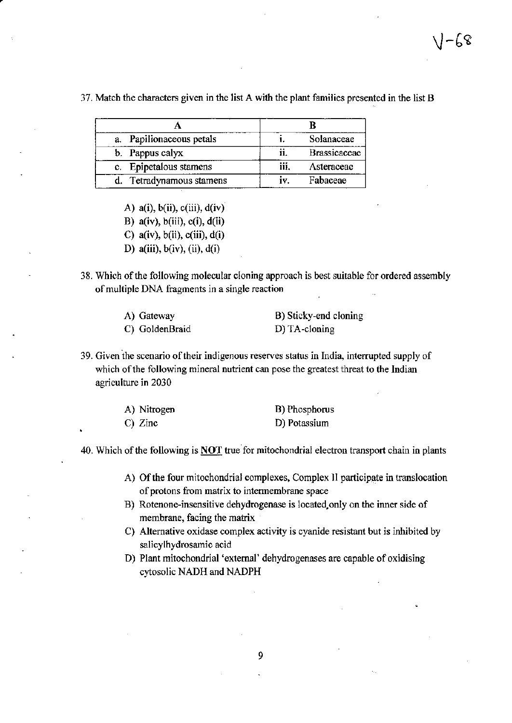$1 - 68$ 

| a. Papilionaceous petals |      | Solanaceae          |
|--------------------------|------|---------------------|
| b. Pappus calyx          |      | <b>Brassicaceae</b> |
| c. Epipetalous stamens   | iii. | Asteraceae          |
| Tetradynamous stamens    |      | Fabaceae            |

37. Match the characters given in the list A with the plant families presented in the list B

- A)  $a(i)$ ,  $b(ii)$ ,  $c(iii)$ ,  $d(iv)$
- B) a(iv),  $b(iii)$ ,  $c(i)$ ,  $d(ii)$
- C)  $a(iv)$ ,  $b(ii)$ ,  $c(iii)$ ,  $d(i)$
- D)  $a(iii)$ ,  $b(iv)$ ,  $(ii)$ ,  $d(i)$
- 38. Which of the following molecular cloning approach is best suitable for ordered assembly of multiple DNA fragments in a single reaction

| A) Gateway     | B) Sticky-end cloning |
|----------------|-----------------------|
| C) GoldenBraid | D) TA-cloning         |

39. Given the scenario of their indigenous reserves status in India, interrupted supply of which of the following mineral nutrient can pose the greatest threat to the Indian agriculture in 2030

| A) Nitrogen | B) Phosphorus |
|-------------|---------------|
| $C)$ Zinc   | D) Potassium  |

40. Which of the following is NOT true for mitochondrial electron transport chain in plants

- A) Of the four mitochondrial complexes, Complex II participate in translocation of protons from matrix to intennembrane space
- B) Rotenone-insensitive dehydrogenase is located.only on the inner side of membrane, facing the matrix
- C) Alternative oxidase complex activity is cyanide resistant but is inhibited by salicylhydrosamic acid
- D) Plant mitochondrial 'external' dehydrogenases are capable of oxidising cytosolic NADH and NADPH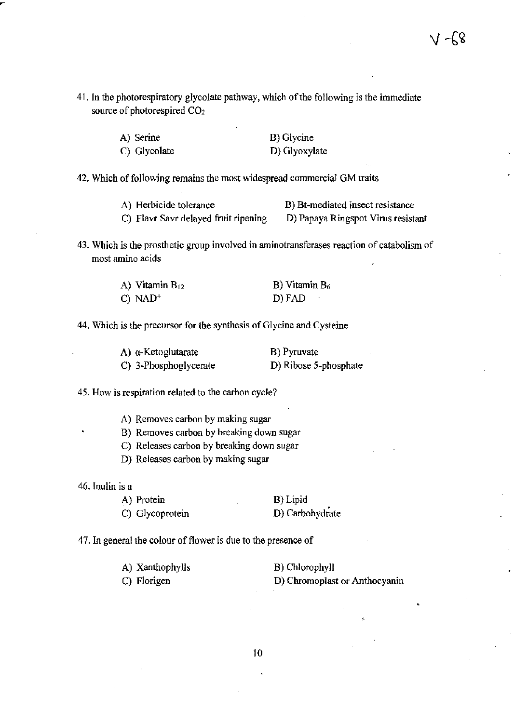41. In the photorespiratory glycolate pathway, which of the following is the immediate source of photorespired C02

| A) Serine    | B) Glycine    |
|--------------|---------------|
| C) Glycolate | D) Glyoxylate |

42. Which of following remains the most widespread commercial OM traits

A) Herbicide tolerance B) Bt-mediated insect resistance C) Flavr Savr delayed fruit ripening D) Papaya Ringspot Virus resistant

43. Which is the prosthetic group involved in aminotransferases reaction of catabolism of most amino acids

| A) Vitamin $B_{12}$   | $B)$ Vitamin $B_6$ |
|-----------------------|--------------------|
| $C)$ NAD <sup>+</sup> | D) FAD             |

44. Which is the precursor for the synthesis of Glycine and Cysteine

| A) α-Ketoglutarate    | B) Pyruvate           |
|-----------------------|-----------------------|
| C) 3-Phosphoglycerate | D) Ribose 5-phosphate |

45. How is respiration related to the carbon cycle?

A} Removes carbon by making sugar

- B) Removes carbon by breaking down sugar
- C) Releases carbon by breaking down sugar
- D) Releases carbon by making sugar

46. Inulin is a

A) Protein B) Lipid

C) Glycoprotein D) Carbohydrate

47. In general the colour of flower is due to the presence of

| A) Xanthophylls | B) Chlorophyll                |
|-----------------|-------------------------------|
| C) Florigen     | D) Chromoplast or Anthocyanin |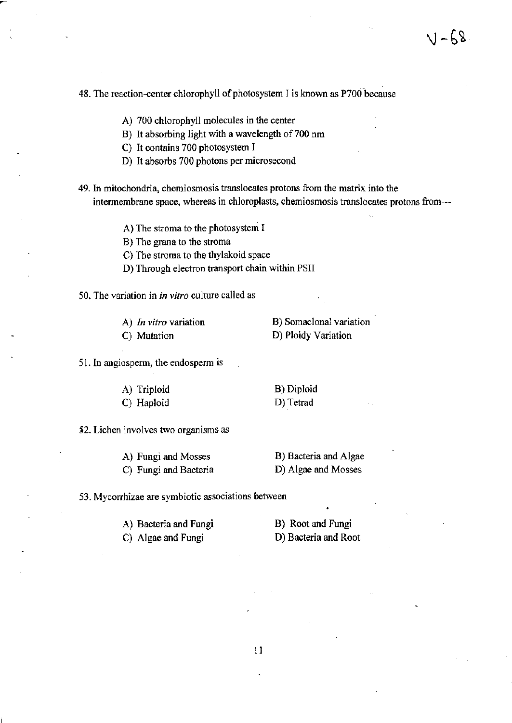### 48. The reaction-center chlorophyll of photosystem I is known as P700 because

**A) 700 chlorophyll molecules in the center** 

B) It absorbing light with a wavelength of 700 nm

C) It contains 700 photosystem I

- **D) It absorbs 700 photons per microsecond**
- **49. In mitochondria, chemiosmosis translocates protons from the matrix into the intennembrane space, whereas in chloroplasts, chemiosmosis translocates protons from---**

**A) The stroma to the photosystem I** 

**B) The grana to the stroma** 

C) The stroma to the thylakoid space

- **D) Through electron transport chain within PSII**
- **50. The variation in** *in vitro* **culture called as**

**A)** *In vitro* **variation** 

**C) Mutation** 

**B) Somaclonal variation D) Ploidy Variation** 

**51. In angiosperm, the endosperm is** 

A) Triploid C) Haploid B) Diploid D) Tetrad

**)2. Lichen involves two organisms as** 

**A) Fungi and Mosses C) Fungi and Bacteria** 

B) Bacteria and Algae D) Algae and Mosses

**53. Mycorrhizae are symbiotic associations between** 

A) Bacteria and Fungi C) Algae and Fungi

B) Root and Fungi D) Bacteria and Root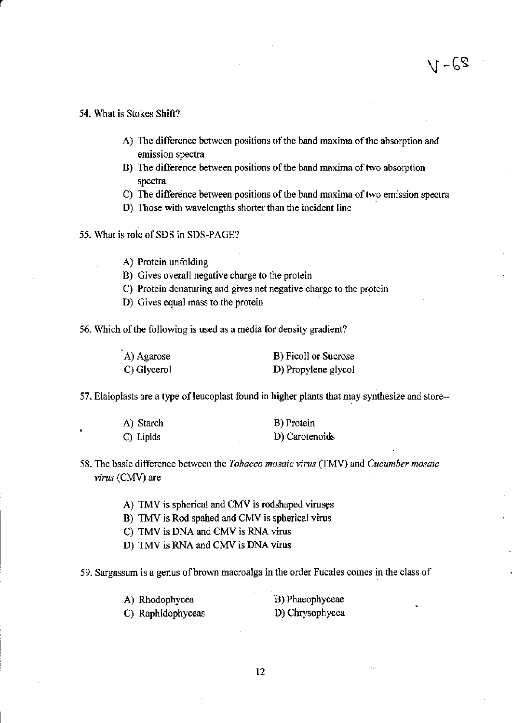#### 54. What is Stokes Shift?

- **A) The difference between positions of the band maxima of the absorption and emission spectra**
- **B) The difference between positions** of the **band maxima** of two **absorption spectra**
- **C) The difference between positions of the band maxima of two emission spectra**
- **D) Those with wavelengths shorter than the incident line**
- 55. What is role of SDS in SDS-PAGE?
	- **A) Protein unfolding**
	- **B) Gives overall negative charge to the protein**
	- **C) Protein denaturing and gives net negative charge to the protein**
	- **D) Gives equal mass to the protein .**

**56. Which** of the **following is used as a media for density gradient?** 

| A) Agarose  | B) Ficoll or Sucrose |
|-------------|----------------------|
| C) Glycerol | D) Propylene glycol  |

57. Elaioplasts are a type of leucoplast found in higher plants that may synthesize and store--

| A) Starch | B) Protein     |
|-----------|----------------|
| C) Lipids | D) Carotenoids |

**58. The basic difference between the** *Tobacco mosaic virus* **(TMV) and** *Cucumber mosaic virus* (CMV) are

- A) TMV is spherical and CMV is rodshaped viruses
- B) TMV is Rod spahed and CMV is spherical virus
- C) TMV is DNA and CMV is RNA virus
- D) TMV is RNA and CMV is DNA virus

59. Sargassum is a genus of brown macroalga in the order Fucales comes in the class of

| A) Rhodophycea    | B) Phaeophyceae |
|-------------------|-----------------|
| C) Raphidophyceas | D) Chrysophycea |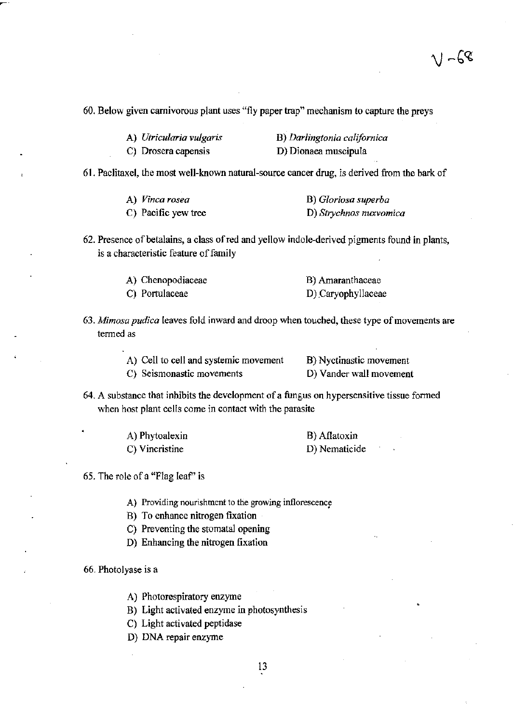$V - G8$ 

60. Below given carnivorous plant uses "fly paper trap" mechanism to capture the preys

| A) Utricularia vulgaris | B) Darlingtonia californica |
|-------------------------|-----------------------------|
| C) Drosera capensis     | D) Dionaea muscipula        |

61. Paclitaxel, the most well-known natural-source cancer drug, is derived from the bark of

| A) Vinca rosea      | B) Gloriosa superba    |
|---------------------|------------------------|
| C) Pacific yew tree | D) Strychnos muxvomica |

62. Presence of betalains, a class of red and yellow indole-derived pigments found in plants, is a characteristic feature of family

| A) Chenopodiaceae | B) Amaranthaceae   |
|-------------------|--------------------|
| C) Portulaceae    | D) Caryophyllaceae |

*63. Mimosa pudica* leaves fold inward and droop when touched, these type of movements are termed as

| A) Cell to cell and systemic movement | B) Nyctinastic movement |
|---------------------------------------|-------------------------|
| C) Seismonastic movements             | D) Vander wall movement |

64. A substance that inhibits the development of a fungus on hypersensitive tissue formed when host plant cells come in contact with the parasite

| A) Phytoalexin | B) Aflatoxin  |  |
|----------------|---------------|--|
| C) Vincristine | D) Nematicide |  |

65. The role of a "Flag leaf' is

A) Providing nourishment to the growing inflorescence

B) To enhance nitrogen fixation

C) Preventing the stomatal opening

D) Enhancing the nitrogen fixation

### 66. Photolyase is a

A) Photorespiratory enzyme

B) Light activated enzyme in photosynthesis

C) Light activated peptidase

D) DNA repair enzyme

13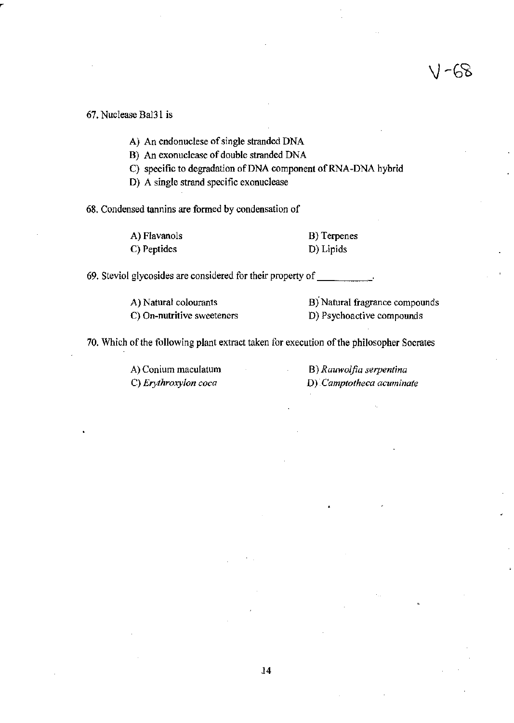### 67. Nuclease Bal31 is

A) An endonuclese of single stranded DNA

B) An exonuclease of double stranded DNA

C) specific to degradation of DNA component of RNA-DNA hybrid

**D) A single strand specific exonuclease** 

**68. Condensed tannins are formed by condensation of** 

A) Flavanols C) Peptides

B) Terpenes D) Lipids

**69. Steviol glycosides are considered for their property** of \_\_\_\_ \_

**A) Natural colourants C) On-nutritive sweeteners**  **B**) Natural fragrance compounds **D) Psychoactive compounds** 

VI -68

**70. Which** of the **following plant extract taken for execution** of the **philosopher Socrates** 

**A) Conium maculatum C)** *Erythroxylon coca* 

**B)** *Rauwolfia serpentina*  **D)** *Camptotheca acuminate*